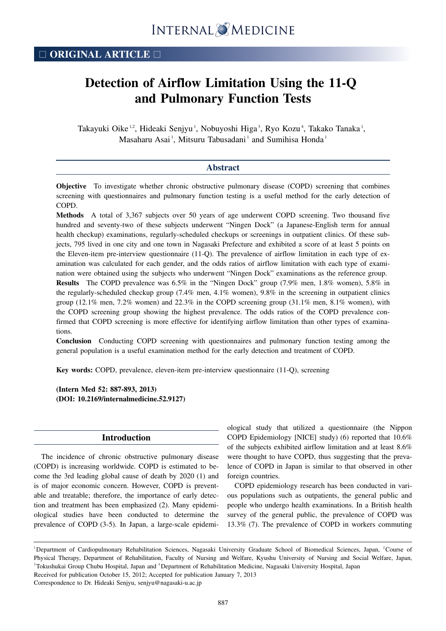# **Detection of Airflow Limitation Using the 11-Q and Pulmonary Function Tests**

Takayuki Oike<sup>1,2</sup>, Hideaki Senjyu<sup>1</sup>, Nobuyoshi Higa<sup>3</sup>, Ryo Kozu<sup>4</sup>, Takako Tanaka<sup>1</sup>, Masaharu Asai<sup>1</sup>, Mitsuru Tabusadani<sup>1</sup> and Sumihisa Honda<sup>1</sup>

# **Abstract**

**Objective** To investigate whether chronic obstructive pulmonary disease (COPD) screening that combines screening with questionnaires and pulmonary function testing is a useful method for the early detection of COPD.

**Methods** A total of 3,367 subjects over 50 years of age underwent COPD screening. Two thousand five hundred and seventy-two of these subjects underwent "Ningen Dock" (a Japanese-English term for annual health checkup) examinations, regularly-scheduled checkups or screenings in outpatient clinics. Of these subjects, 795 lived in one city and one town in Nagasaki Prefecture and exhibited a score of at least 5 points on the Eleven-item pre-interview questionnaire (11-Q). The prevalence of airflow limitation in each type of examination was calculated for each gender, and the odds ratios of airflow limitation with each type of examination were obtained using the subjects who underwent "Ningen Dock" examinations as the reference group. **Results** The COPD prevalence was 6.5% in the "Ningen Dock" group (7.9% men, 1.8% women), 5.8% in the regularly-scheduled checkup group (7.4% men, 4.1% women), 9.8% in the screening in outpatient clinics group (12.1% men, 7.2% women) and 22.3% in the COPD screening group (31.1% men, 8.1% women), with the COPD screening group showing the highest prevalence. The odds ratios of the COPD prevalence confirmed that COPD screening is more effective for identifying airflow limitation than other types of examinations.

**Conclusion** Conducting COPD screening with questionnaires and pulmonary function testing among the general population is a useful examination method for the early detection and treatment of COPD.

**Key words:** COPD, prevalence, eleven-item pre-interview questionnaire (11-Q), screening

**(Intern Med 52: 887-893, 2013) (DOI: 10.2169/internalmedicine.52.9127)**

# **Introduction**

The incidence of chronic obstructive pulmonary disease (COPD) is increasing worldwide. COPD is estimated to become the 3rd leading global cause of death by 2020 (1) and is of major economic concern. However, COPD is preventable and treatable; therefore, the importance of early detection and treatment has been emphasized (2). Many epidemiological studies have been conducted to determine the prevalence of COPD (3-5). In Japan, a large-scale epidemiological study that utilized a questionnaire (the Nippon COPD Epidemiology [NICE] study) (6) reported that 10.6% of the subjects exhibited airflow limitation and at least 8.6% were thought to have COPD, thus suggesting that the prevalence of COPD in Japan is similar to that observed in other foreign countries.

COPD epidemiology research has been conducted in various populations such as outpatients, the general public and people who undergo health examinations. In a British health survey of the general public, the prevalence of COPD was 13.3% (7). The prevalence of COPD in workers commuting

Correspondence to Dr. Hideaki Senjyu, senjyu@nagasaki-u.ac.jp

<sup>&</sup>lt;sup>1</sup>Department of Cardiopulmonary Rehabilitation Sciences, Nagasaki University Graduate School of Biomedical Sciences, Japan, <sup>2</sup>Course of Physical Therapy, Department of Rehabilitation, Faculty of Nursing and Welfare, Kyushu University of Nursing and Social Welfare, Japan, <sup>3</sup>Tokushukai Group Chubu Hospital, Japan and <sup>4</sup>Department of Rehabilitation Medicine, Nagasaki University Hospital, Japan Received for publication October 15, 2012; Accepted for publication January 7, 2013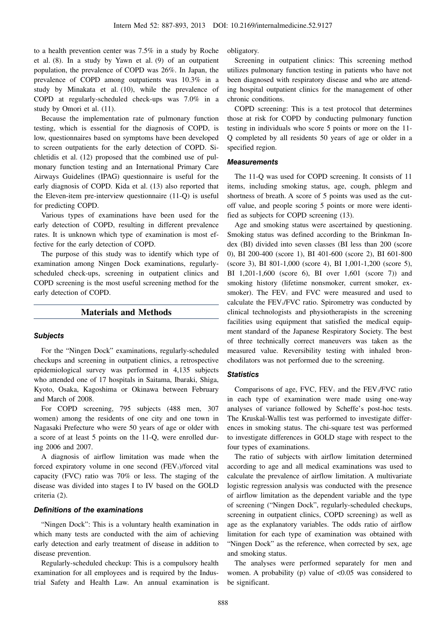to a health prevention center was 7.5% in a study by Roche et al. (8). In a study by Yawn et al. (9) of an outpatient population, the prevalence of COPD was 26%. In Japan, the prevalence of COPD among outpatients was 10.3% in a study by Minakata et al. (10), while the prevalence of COPD at regularly-scheduled check-ups was 7.0% in a study by Omori et al. (11).

Because the implementation rate of pulmonary function testing, which is essential for the diagnosis of COPD, is low, questionnaires based on symptoms have been developed to screen outpatients for the early detection of COPD. Sichletidis et al. (12) proposed that the combined use of pulmonary function testing and an International Primary Care Airways Guidelines (IPAG) questionnaire is useful for the early diagnosis of COPD. Kida et al. (13) also reported that the Eleven-item pre-interview questionnaire (11-Q) is useful for predicting COPD.

Various types of examinations have been used for the early detection of COPD, resulting in different prevalence rates. It is unknown which type of examination is most effective for the early detection of COPD.

The purpose of this study was to identify which type of examination among Ningen Dock examinations, regularlyscheduled check-ups, screening in outpatient clinics and COPD screening is the most useful screening method for the early detection of COPD.

# **Materials and Methods**

## **Subjects**

For the "Ningen Dock" examinations, regularly-scheduled checkups and screening in outpatient clinics, a retrospective epidemiological survey was performed in 4,135 subjects who attended one of 17 hospitals in Saitama, Ibaraki, Shiga, Kyoto, Osaka, Kagoshima or Okinawa between February and March of 2008.

For COPD screening, 795 subjects (488 men, 307 women) among the residents of one city and one town in Nagasaki Prefecture who were 50 years of age or older with a score of at least 5 points on the 11-Q, were enrolled during 2006 and 2007.

A diagnosis of airflow limitation was made when the forced expiratory volume in one second  $(FEV_1)/$ forced vital capacity (FVC) ratio was 70% or less. The staging of the disease was divided into stages I to IV based on the GOLD criteria (2).

#### **Definitions of the examinations**

"Ningen Dock": This is a voluntary health examination in which many tests are conducted with the aim of achieving early detection and early treatment of disease in addition to disease prevention.

Regularly-scheduled checkup: This is a compulsory health examination for all employees and is required by the Industrial Safety and Health Law. An annual examination is obligatory.

Screening in outpatient clinics: This screening method utilizes pulmonary function testing in patients who have not been diagnosed with respiratory disease and who are attending hospital outpatient clinics for the management of other chronic conditions.

COPD screening: This is a test protocol that determines those at risk for COPD by conducting pulmonary function testing in individuals who score 5 points or more on the 11- Q completed by all residents 50 years of age or older in a specified region.

#### **Measurements**

The 11-Q was used for COPD screening. It consists of 11 items, including smoking status, age, cough, phlegm and shortness of breath. A score of 5 points was used as the cutoff value, and people scoring 5 points or more were identified as subjects for COPD screening (13).

Age and smoking status were ascertained by questioning. Smoking status was defined according to the Brinkman Index (BI) divided into seven classes (BI less than 200 (score 0), BI 200-400 (score 1), BI 401-600 (score 2), BI 601-800 (score 3), BI 801-1,000 (score 4), BI 1,001-1,200 (score 5), BI 1,201-1,600 (score 6), BI over 1,601 (score 7)) and smoking history (lifetime nonsmoker, current smoker, exsmoker). The  $FEV_1$  and  $FVC$  were measured and used to calculate the FEV<sub>1</sub>/FVC ratio. Spirometry was conducted by clinical technologists and physiotherapists in the screening facilities using equipment that satisfied the medical equipment standard of the Japanese Respiratory Society. The best of three technically correct maneuvers was taken as the measured value. Reversibility testing with inhaled bronchodilators was not performed due to the screening.

## **Statistics**

Comparisons of age, FVC,  $FEV_1$  and the  $FEV_1/FVC$  ratio in each type of examination were made using one-way analyses of variance followed by Scheffe's post-hoc tests. The Kruskal-Wallis test was performed to investigate differences in smoking status. The chi-square test was performed to investigate differences in GOLD stage with respect to the four types of examinations.

The ratio of subjects with airflow limitation determined according to age and all medical examinations was used to calculate the prevalence of airflow limitation. A multivariate logistic regression analysis was conducted with the presence of airflow limitation as the dependent variable and the type of screening ("Ningen Dock", regularly-scheduled checkups, screening in outpatient clinics, COPD screening) as well as age as the explanatory variables. The odds ratio of airflow limitation for each type of examination was obtained with "Ningen Dock" as the reference, when corrected by sex, age and smoking status.

The analyses were performed separately for men and women. A probability (p) value of  $< 0.05$  was considered to be significant.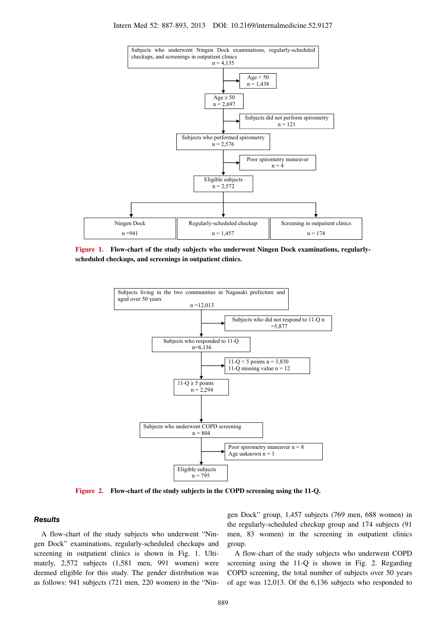

**Figure 1. Flow-chart of the study subjects who underwent Ningen Dock examinations, regularlyscheduled checkups, and screenings in outpatient clinics.**



**Figure 2. Flow-chart of the study subjects in the COPD screening using the 11-Q.**

#### **Results**

A flow-chart of the study subjects who underwent "Ningen Dock" examinations, regularly-scheduled checkups and screening in outpatient clinics is shown in Fig. 1. Ultimately, 2,572 subjects (1,581 men, 991 women) were deemed eligible for this study. The gender distribution was as follows: 941 subjects (721 men, 220 women) in the "Ningen Dock" group, 1,457 subjects (769 men, 688 women) in the regularly-scheduled checkup group and 174 subjects (91 men, 83 women) in the screening in outpatient clinics group.

A flow-chart of the study subjects who underwent COPD screening using the 11-Q is shown in Fig. 2. Regarding COPD screening, the total number of subjects over 50 years of age was 12,013. Of the 6,136 subjects who responded to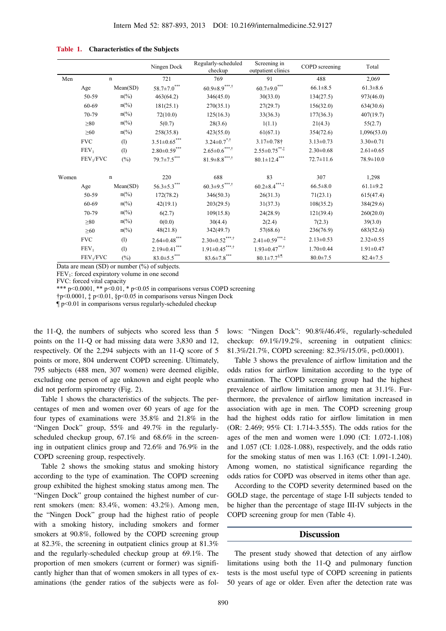|       |                       |                             | Ningen Dock             | Regularly-scheduled<br>checkup                              | Screening in<br>outpatient clinics | COPD screening  | Total           |
|-------|-----------------------|-----------------------------|-------------------------|-------------------------------------------------------------|------------------------------------|-----------------|-----------------|
| Men   |                       | n                           |                         | 769                                                         | 91                                 | 488             | 2,069           |
|       | Age                   | Mean(SD)                    | $58.7{\pm}7.0^{***}$    | $60.9{\pm}8.9$ $^{***,\dagger}$                             | $60.7{\pm9.0}^{***}$               | $66.1 \pm 8.5$  | $61.3 \pm 8.6$  |
|       | 50-59                 | $n\frac{\omega}{\omega}$    | 463(64.2)               | 346(45.0)                                                   | 30(33.0)                           | 134(27.5)       | 973(46.0)       |
|       | 60-69                 | $n\left(\frac{0}{0}\right)$ | 181(25.1)               | 270(35.1)                                                   | 27(29.7)                           | 156(32.0)       | 634(30.6)       |
|       | 70-79                 | $n\frac{\omega}{\omega}$    | 72(10.0)                | 125(16.3)                                                   | 33(36.3)                           | 177(36.3)       | 407(19.7)       |
|       | $\geq 80$             | $n\frac{\omega}{\omega}$    | 5(0.7)                  | 28(3.6)                                                     | 1(1.1)                             | 21(4.3)         | 55(2.7)         |
|       | $\geq 60$             | $n\left(\frac{0}{0}\right)$ | 258(35.8)               | 423(55.0)                                                   | 61(67.1)                           | 354(72.6)       | 1,096(53.0)     |
|       | <b>FVC</b>            | (1)                         | $3.51{\pm}0.65^{***}$   | $3.24 \pm 0.7$ <sup>*,†</sup>                               | $3.17 \pm 0.78$ †                  | $3.13 \pm 0.73$ | $3.30 \pm 0.71$ |
|       | FEV <sub>1</sub>      | (1)                         | $2.80{\pm}0.59^{***}$   | $2.65{\pm}0.6$ $\phantom{0}^{\ast\ast\ast\ast\ast\ast\ast}$ | $2.55 \pm 0.75$ **,‡               | $2.30 \pm 0.68$ | $2.61 \pm 0.65$ |
|       | FEV <sub>1</sub> /FVC | $(\%)$                      | $79.7{\pm}7.5^{***}$    | $81.9 \pm 8.8$ <sup>***,†</sup>                             | $80.1 \pm 12.4***$                 | $72.7 \pm 11.6$ | 78.9±10.0       |
| Women |                       | $\mathbf n$                 | 220                     | 688                                                         | 83                                 | 307             | 1,298           |
|       | Age                   | Mean(SD)                    | $56.3{\pm}5.3^{***}$    | $60.3{\pm}9.5^{***,\dagger}$                                | $60.2{\pm}8.4^{***,\ddag}$         | $66.5 \pm 8.0$  | $61.1 \pm 9.2$  |
|       | 50-59                 | $n\frac{\omega}{\omega}$    | 172(78.2)               | 346(50.3)                                                   | 26(31.3)                           | 71(23.1)        | 615(47.4)       |
|       | 60-69                 | $n\frac{\omega}{\omega}$    | 42(19.1)                | 203(29.5)                                                   | 31(37.3)                           | 108(35.2)       | 384(29.6)       |
|       | 70-79                 | $n\frac{\omega}{\omega}$    | 6(2.7)                  | 109(15.8)                                                   | 24(28.9)                           | 121(39.4)       | 260(20.0)       |
|       | $\geq 80$             | $n\frac{\omega}{\omega}$    | 0(0.0)                  | 30(4.4)                                                     | 2(2.4)                             | 7(2.3)          | 39(3.0)         |
|       | $\geq 60$             | $n\frac{\omega}{\omega}$    | 48(21.8)                | 342(49.7)                                                   | 57(68.6)                           | 236(76.9)       | 683(52.6)       |
|       | <b>FVC</b>            | (1)                         | $2.64 {\pm} 0.48^{***}$ | $2.30{\pm}0.52^{***,\dagger}$                               | $2.41 \pm 0.59$ ***,*              | $2.13 \pm 0.53$ | $2.32 \pm 0.55$ |
|       | $FEV_1$               | (1)                         | $2.19{\pm}0.41^{***}$   | $1.91 {\pm} 0.45^{***,\dagger}$                             | $1.93 \pm 0.47***$                 | $1.70 \pm 0.44$ | $1.91 \pm 0.47$ |
|       | FEV <sub>1</sub> /FVC | $(\%)$                      | $83.0 \pm 5.5$ ***      | $83.6 {\pm} 7.8$ ***                                        | $80.1 \pm 7.7$ <sup>§,¶</sup>      | $80.0 \pm 7.5$  | $82.4 \pm 7.5$  |

| Table 1. | <b>Characteristics of the Subjects</b> |
|----------|----------------------------------------|
|----------|----------------------------------------|

Data are mean (SD) or number (%) of subjects.

 $FEV<sub>1</sub>$ : forced expiratory volume in one second

FVC: forced vital capacity

\*\*\* p<0.0001, \*\* p<0.01, \* p<0.05 in comparisons versus COPD screening

†p<0.0001, ‡ p<0.01, §p<0.05 in comparisons versus Ningen Dock

 $\P p$ <0.01 in comparisons versus regularly-scheduled checkup

the 11-Q, the numbers of subjects who scored less than 5 points on the 11-Q or had missing data were 3,830 and 12, respectively. Of the 2,294 subjects with an 11-Q score of 5 points or more, 804 underwent COPD screening. Ultimately, 795 subjects (488 men, 307 women) were deemed eligible, excluding one person of age unknown and eight people who did not perform spirometry (Fig. 2).

Table 1 shows the characteristics of the subjects. The percentages of men and women over 60 years of age for the four types of examinations were 35.8% and 21.8% in the "Ningen Dock" group, 55% and 49.7% in the regularlyscheduled checkup group, 67.1% and 68.6% in the screening in outpatient clinics group and 72.6% and 76.9% in the COPD screening group, respectively.

Table 2 shows the smoking status and smoking history according to the type of examination. The COPD screening group exhibited the highest smoking status among men. The "Ningen Dock" group contained the highest number of current smokers (men: 83.4%, women: 43.2%). Among men, the "Ningen Dock" group had the highest ratio of people with a smoking history, including smokers and former smokers at 90.8%, followed by the COPD screening group at 82.3%, the screening in outpatient clinics group at 81.3% and the regularly-scheduled checkup group at 69.1%. The proportion of men smokers (current or former) was significantly higher than that of women smokers in all types of examinations (the gender ratios of the subjects were as follows: "Ningen Dock": 90.8%/46.4%, regularly-scheduled checkup: 69.1%/19.2%, screening in outpatient clinics: 81.3%/21.7%, COPD screening: 82.3%/15.0%, p<0.0001).

Table 3 shows the prevalence of airflow limitation and the odds ratios for airflow limitation according to the type of examination. The COPD screening group had the highest prevalence of airflow limitation among men at 31.1%. Furthermore, the prevalence of airflow limitation increased in association with age in men. The COPD screening group had the highest odds ratio for airflow limitation in men (OR: 2.469; 95% CI: 1.714-3.555). The odds ratios for the ages of the men and women were 1.090 (CI: 1.072-1.108) and 1.057 (CI: 1.028-1.088), respectively, and the odds ratio for the smoking status of men was 1.163 (CI: 1.091-1.240). Among women, no statistical significance regarding the odds ratios for COPD was observed in items other than age.

According to the COPD severity determined based on the GOLD stage, the percentage of stage I-II subjects tended to be higher than the percentage of stage III-IV subjects in the COPD screening group for men (Table 4).

#### **Discussion**

The present study showed that detection of any airflow limitations using both the 11-Q and pulmonary function tests is the most useful type of COPD screening in patients 50 years of age or older. Even after the detection rate was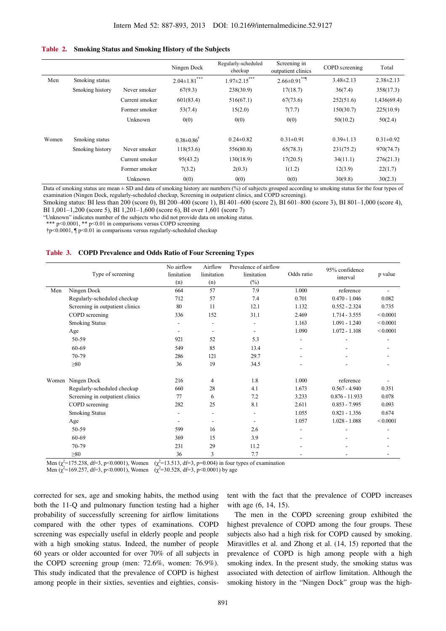#### **Table 2. Smoking Status and Smoking History of the Subjects**

|       |                 |                | Ningen Dock                    | Regularly-scheduled<br>checkup | Screening in<br>outpatient clinics | COPD screening  | Total           |
|-------|-----------------|----------------|--------------------------------|--------------------------------|------------------------------------|-----------------|-----------------|
| Men   | Smoking status  |                | $2.04 \pm 1.81$ <sup>***</sup> | $1.97 \pm 2.15***$             | $2.66 \pm 0.91$ **                 | $3.48 \pm 2.13$ | $2.38 \pm 2.13$ |
|       | Smoking history | Never smoker   | 67(9.3)                        | 238(30.9)                      | 17(18.7)                           | 36(7.4)         | 358(17.3)       |
|       |                 | Current smoker | 601(83.4)                      | 516(67.1)                      | 67(73.6)                           | 252(51.6)       | 1,436(69.4)     |
|       |                 | Former smoker  | 53(7.4)                        | 15(2.0)                        | 7(7.7)                             | 150(30.7)       | 225(10.9)       |
|       |                 | Unknown        | 0(0)                           | 0(0)                           | 0(0)                               | 50(10.2)        | 50(2.4)         |
| Women | Smoking status  |                | $0.38 \pm 0.86$ <sup>†</sup>   | $0.24 \pm 0.82$                | $0.31 \pm 0.91$                    | $0.39 \pm 1.13$ | $0.31 \pm 0.92$ |
|       | Smoking history | Never smoker   | 118(53.6)                      | 556(80.8)                      | 65(78.3)                           | 231(75.2)       | 970(74.7)       |
|       |                 | Current smoker | 95(43.2)                       | 130(18.9)                      | 17(20.5)                           | 34(11.1)        | 276(21.3)       |
|       |                 | Former smoker  | 7(3.2)                         | 2(0.3)                         | 1(1.2)                             | 12(3.9)         | 22(1.7)         |
|       |                 | Unknown        | 0(0)                           | 0(0)                           | 0(0)                               | 30(9.8)         | 30(2.3)         |

Data of smoking status are mean  $\pm$  SD and data of smoking history are numbers (%) of subjects grouped according to smoking status for the four types of examination (Ningen Dock, regularly-scheduled checkup, Screening in outpatient clinics, and COPD screening).

Smoking status: BI less than 200 (score 0), BI 200–400 (score 1), BI 401–600 (score 2), BI 601–800 (score 3), BI 801–1,000 (score 4), BI 1,001–1,200 (score 5), BI 1,201–1,600 (score 6), BI over 1,601 (score 7)

"Unknown" indicates number of the subjects who did not provide data on smoking status.

\*\*\* p<0.0001, \*\* p<0.01 in comparisons versus COPD screening

†p<0.0001, ¶ p<0.01 in comparisons versus regularly-scheduled checkup

#### **Table 3. COPD Prevalence and Odds Ratio of Four Screening Types**

|     |                                 | No airflow     | Airflow                  | Prevalence of airflow    |                          | 95% confidence   | p value  |
|-----|---------------------------------|----------------|--------------------------|--------------------------|--------------------------|------------------|----------|
|     | Type of screening               | limitation     | limitation               | limitation               | Odds ratio               | interval         |          |
|     |                                 | (n)            | (n)                      | $(\%)$                   |                          |                  |          |
| Men | Ningen Dock                     | 664            | 57                       | 7.9                      | 1.000                    | reference        |          |
|     | Regularly-scheduled checkup     | 712            | 57                       | 7.4                      | 0.701                    | $0.470 - 1.046$  | 0.082    |
|     | Screening in outpatient clinics | 80             | 11                       | 12.1                     | 1.132                    | $0.552 - 2.324$  | 0.735    |
|     | COPD screening                  | 336            | 152                      | 31.1                     | 2.469                    | $1.714 - 3.555$  | < 0.0001 |
|     | <b>Smoking Status</b>           | $\overline{a}$ |                          |                          | 1.163                    | $1.091 - 1.240$  | < 0.0001 |
|     | Age                             | ۰              | $\overline{\phantom{0}}$ |                          | 1.090                    | $1.072 - 1.108$  | < 0.0001 |
|     | 50-59                           | 921            | 52                       | 5.3                      | $\overline{\phantom{0}}$ |                  |          |
|     | 60-69                           | 549            | 85                       | 13.4                     |                          |                  |          |
|     | 70-79                           | 286            | 121                      | 29.7                     |                          |                  |          |
|     | $\geq 80$                       | 36             | 19                       | 34.5                     |                          |                  |          |
|     | Women Ningen Dock               | 216            | 4                        | 1.8                      | 1.000                    | reference        |          |
|     | Regularly-scheduled checkup     | 660            | 28                       | 4.1                      | 1.673                    | $0.567 - 4.940$  | 0.351    |
|     | Screening in outpatient clinics | 77             | 6                        | 7.2                      | 3.233                    | $0.876 - 11.933$ | 0.078    |
|     | COPD screening                  | 282            | 25                       | 8.1                      | 2.611                    | $0.853 - 7.995$  | 0.093    |
|     | <b>Smoking Status</b>           | $\overline{a}$ |                          |                          | 1.055                    | $0.821 - 1.356$  | 0.674    |
|     | Age                             |                | $\overline{\phantom{0}}$ | $\overline{\phantom{a}}$ | 1.057                    | $1.028 - 1.088$  | < 0.0001 |
|     | 50-59                           | 599            | 16                       | 2.6                      | $\overline{\phantom{0}}$ |                  |          |
|     | 60-69                           | 369            | 15                       | 3.9                      |                          |                  |          |
|     | 70-79                           | 231            | 29                       | 11.2                     |                          |                  |          |
|     | $\geq 80$                       | 36             | 3                        | 7.7                      |                          |                  |          |

Men ( $\chi^2$ =175.238, df=3, p<0.0001), Women ( $\chi^2$ =13.513, df=3, p=0.004) in four types of examination

Men  $(\chi^2$ =169.257, df=3, p<0.0001), Women  $(\chi^2$ =30.528, df=3, p<0.0001) by age

corrected for sex, age and smoking habits, the method using both the 11-Q and pulmonary function testing had a higher probability of successfully screening for airflow limitations compared with the other types of examinations. COPD screening was especially useful in elderly people and people with a high smoking status. Indeed, the number of people 60 years or older accounted for over 70% of all subjects in the COPD screening group (men: 72.6%, women: 76.9%). This study indicated that the prevalence of COPD is highest among people in their sixties, seventies and eighties, consistent with the fact that the prevalence of COPD increases with age (6, 14, 15).

The men in the COPD screening group exhibited the highest prevalence of COPD among the four groups. These subjects also had a high risk for COPD caused by smoking. Miravitlles et al. and Zhong et al. (14, 15) reported that the prevalence of COPD is high among people with a high smoking index. In the present study, the smoking status was associated with detection of airflow limitation. Although the smoking history in the "Ningen Dock" group was the high-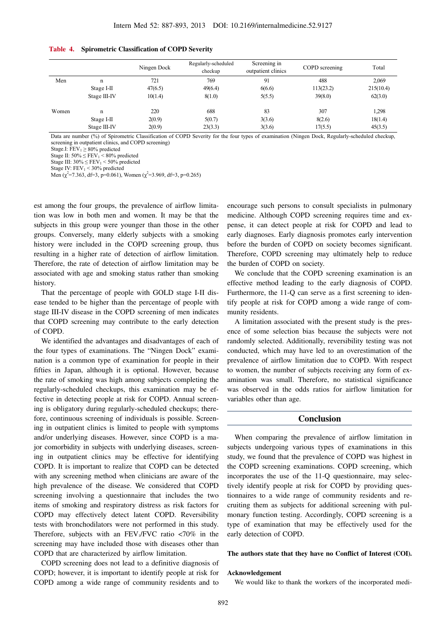|       |              | Ningen Dock | Regularly-scheduled<br>checkup | Screening in<br>outpatient clinics | COPD screening | Total     |
|-------|--------------|-------------|--------------------------------|------------------------------------|----------------|-----------|
| Men   | n            | 721         | 769                            | 91                                 | 488            | 2,069     |
|       | Stage I-II   | 47(6.5)     | 49(6.4)                        | 6(6.6)                             | 113(23.2)      | 215(10.4) |
|       | Stage III-IV | 10(1.4)     | 8(1.0)                         | 5(5.5)                             | 39(8.0)        | 62(3.0)   |
| Women | n            | 220         | 688                            | 83                                 | 307            | 1,298     |
|       | Stage I-II   | 2(0.9)      | 5(0.7)                         | 3(3.6)                             | 8(2.6)         | 18(1.4)   |
|       | Stage III-IV | 2(0.9)      | 23(3.3)                        | 3(3.6)                             | 17(5.5)        | 45(3.5)   |

#### **Table 4. Spirometric Classification of COPD Severity**

Data are number (%) of Spirometric Classification of COPD Severity for the four types of examination (Ningen Dock, Regularly-scheduled checkup, screening in outpatient clinics, and COPD screening)

Stage.I:  $FEV_1 \ge 80\%$  predicted

Stage II:  $50\% \leq FEV_1$  < 80% predicted

Stage III:  $30\% \leq FEV_1 \leq 50\%$  predicted

Stage IV:  $FEV_1 < 30\%$  predicted

Men ( $\chi^2$ =7.363, df=3, p=0.061), Women ( $\chi^2$ =3.969, df=3, p=0.265)

est among the four groups, the prevalence of airflow limitation was low in both men and women. It may be that the subjects in this group were younger than those in the other groups. Conversely, many elderly subjects with a smoking history were included in the COPD screening group, thus resulting in a higher rate of detection of airflow limitation. Therefore, the rate of detection of airflow limitation may be associated with age and smoking status rather than smoking history.

That the percentage of people with GOLD stage I-II disease tended to be higher than the percentage of people with stage III-IV disease in the COPD screening of men indicates that COPD screening may contribute to the early detection of COPD.

We identified the advantages and disadvantages of each of the four types of examinations. The "Ningen Dock" examination is a common type of examination for people in their fifties in Japan, although it is optional. However, because the rate of smoking was high among subjects completing the regularly-scheduled checkups, this examination may be effective in detecting people at risk for COPD. Annual screening is obligatory during regularly-scheduled checkups; therefore, continuous screening of individuals is possible. Screening in outpatient clinics is limited to people with symptoms and/or underlying diseases. However, since COPD is a major comorbidity in subjects with underlying diseases, screening in outpatient clinics may be effective for identifying COPD. It is important to realize that COPD can be detected with any screening method when clinicians are aware of the high prevalence of the disease. We considered that COPD screening involving a questionnaire that includes the two items of smoking and respiratory distress as risk factors for COPD may effectively detect latent COPD. Reversibility tests with bronchodilators were not performed in this study. Therefore, subjects with an  $FEV<sub>1</sub>/FVC$  ratio  $\langle 70\%$  in the screening may have included those with diseases other than COPD that are characterized by airflow limitation.

COPD screening does not lead to a definitive diagnosis of COPD; however, it is important to identify people at risk for COPD among a wide range of community residents and to

encourage such persons to consult specialists in pulmonary medicine. Although COPD screening requires time and expense, it can detect people at risk for COPD and lead to early diagnoses. Early diagnosis promotes early intervention before the burden of COPD on society becomes significant. Therefore, COPD screening may ultimately help to reduce the burden of COPD on society.

We conclude that the COPD screening examination is an effective method leading to the early diagnosis of COPD. Furthermore, the 11-Q can serve as a first screening to identify people at risk for COPD among a wide range of community residents.

A limitation associated with the present study is the presence of some selection bias because the subjects were not randomly selected. Additionally, reversibility testing was not conducted, which may have led to an overestimation of the prevalence of airflow limitation due to COPD. With respect to women, the number of subjects receiving any form of examination was small. Therefore, no statistical significance was observed in the odds ratios for airflow limitation for variables other than age.

#### **Conclusion**

When comparing the prevalence of airflow limitation in subjects undergoing various types of examinations in this study, we found that the prevalence of COPD was highest in the COPD screening examinations. COPD screening, which incorporates the use of the 11-Q questionnaire, may selectively identify people at risk for COPD by providing questionnaires to a wide range of community residents and recruiting them as subjects for additional screening with pulmonary function testing. Accordingly, COPD screening is a type of examination that may be effectively used for the early detection of COPD.

#### **The authors state that they have no Conflict of Interest (COI).**

#### **Acknowledgement**

We would like to thank the workers of the incorporated medi-